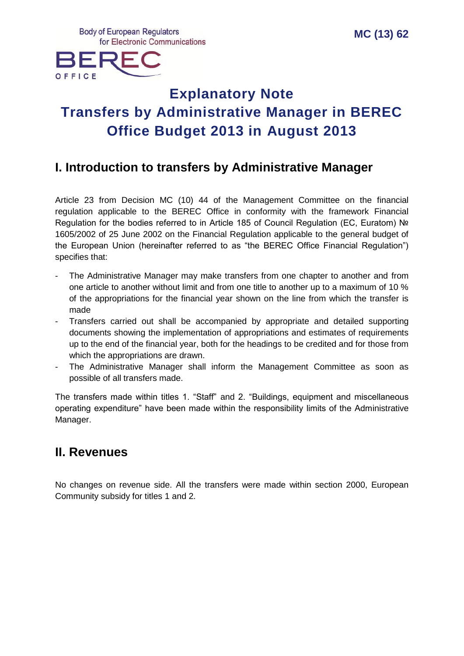

# **Explanatory Note Transfers by Administrative Manager in BEREC Office Budget 2013 in August 2013**

## **I. Introduction to transfers by Administrative Manager**

Article 23 from Decision MC (10) 44 of the Management Committee on the financial regulation applicable to the BEREC Office in conformity with the framework Financial Regulation for the bodies referred to in Article 185 of Council Regulation (EC, Euratom) № 1605/2002 of 25 June 2002 on the Financial Regulation applicable to the general budget of the European Union (hereinafter referred to as "the BEREC Office Financial Regulation") specifies that:

- The Administrative Manager may make transfers from one chapter to another and from one article to another without limit and from one title to another up to a maximum of 10 % of the appropriations for the financial year shown on the line from which the transfer is made
- Transfers carried out shall be accompanied by appropriate and detailed supporting documents showing the implementation of appropriations and estimates of requirements up to the end of the financial year, both for the headings to be credited and for those from which the appropriations are drawn.
- The Administrative Manager shall inform the Management Committee as soon as possible of all transfers made.

The transfers made within titles 1. "Staff" and 2. "Buildings, equipment and miscellaneous operating expenditure" have been made within the responsibility limits of the Administrative Manager.

### **II. Revenues**

No changes on revenue side. All the transfers were made within section 2000, European Community subsidy for titles 1 and 2.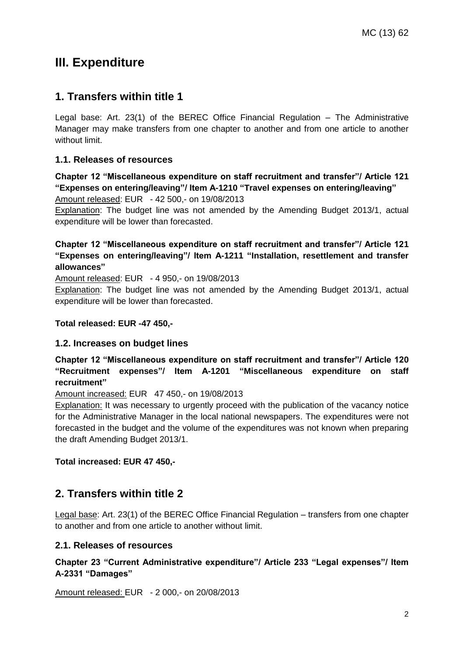## **III. Expenditure**

### **1. Transfers within title 1**

Legal base: Art. 23(1) of the BEREC Office Financial Regulation – The Administrative Manager may make transfers from one chapter to another and from one article to another without limit.

#### **1.1. Releases of resources**

**Chapter 12 "Miscellaneous expenditure on staff recruitment and transfer"/ Article 121 "Expenses on entering/leaving"/ Item A-1210 "Travel expenses on entering/leaving"** Amount released: EUR - 42 500,- on 19/08/2013

Explanation: The budget line was not amended by the Amending Budget 2013/1, actual expenditure will be lower than forecasted.

#### **Chapter 12 "Miscellaneous expenditure on staff recruitment and transfer"/ Article 121 "Expenses on entering/leaving"/ Item A-1211 "Installation, resettlement and transfer allowances"**

Amount released: EUR - 4 950,- on 19/08/2013

Explanation: The budget line was not amended by the Amending Budget 2013/1, actual expenditure will be lower than forecasted.

#### **Total released: EUR -47 450,-**

#### **1.2. Increases on budget lines**

**Chapter 12 "Miscellaneous expenditure on staff recruitment and transfer"/ Article 120 "Recruitment expenses"/ Item A-1201 "Miscellaneous expenditure on staff recruitment"**

Amount increased: EUR 47 450,- on 19/08/2013

Explanation: It was necessary to urgently proceed with the publication of the vacancy notice for the Administrative Manager in the local national newspapers. The expenditures were not forecasted in the budget and the volume of the expenditures was not known when preparing the draft Amending Budget 2013/1.

#### **Total increased: EUR 47 450,-**

### **2. Transfers within title 2**

Legal base: Art. 23(1) of the BEREC Office Financial Regulation – transfers from one chapter to another and from one article to another without limit.

#### **2.1. Releases of resources**

**Chapter 23 "Current Administrative expenditure"/ Article 233 "Legal expenses"/ Item A-2331 "Damages"**

Amount released: EUR - 2 000,- on 20/08/2013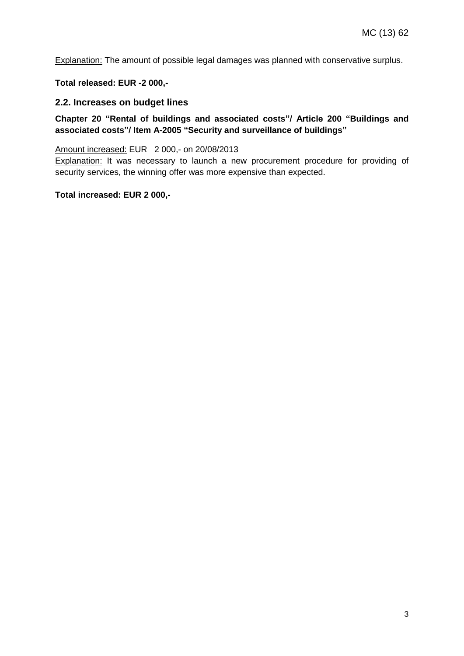Explanation: The amount of possible legal damages was planned with conservative surplus.

**Total released: EUR -2 000,-**

#### **2.2. Increases on budget lines**

#### **Chapter 20 "Rental of buildings and associated costs"/ Article 200 "Buildings and associated costs"/ Item A-2005 "Security and surveillance of buildings"**

#### Amount increased: EUR 2 000,- on 20/08/2013

Explanation: It was necessary to launch a new procurement procedure for providing of security services, the winning offer was more expensive than expected.

#### **Total increased: EUR 2 000,-**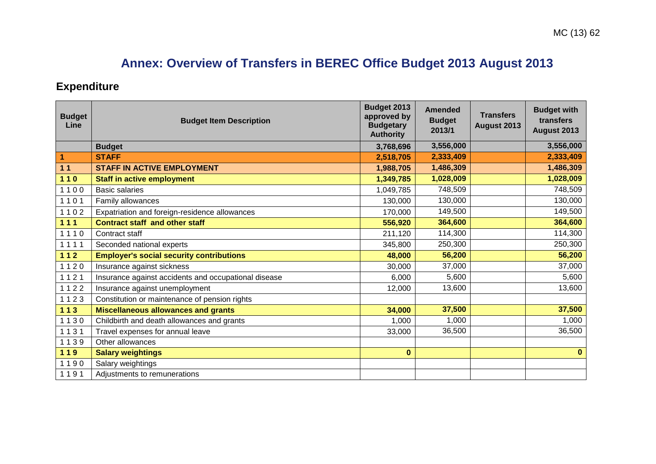# **Annex: Overview of Transfers in BEREC Office Budget 2013 August 2013**

# **Expenditure**

| <b>Budget</b><br>Line   | <b>Budget Item Description</b>                       | Budget 2013<br>approved by<br><b>Budgetary</b><br><b>Authority</b> | <b>Amended</b><br><b>Budget</b><br>2013/1 | <b>Transfers</b><br>August 2013 | <b>Budget with</b><br>transfers<br>August 2013 |
|-------------------------|------------------------------------------------------|--------------------------------------------------------------------|-------------------------------------------|---------------------------------|------------------------------------------------|
|                         | <b>Budget</b>                                        | 3,768,696                                                          | 3,556,000                                 |                                 | 3,556,000                                      |
| $\overline{\mathbf{1}}$ | <b>STAFF</b>                                         | 2,518,705                                                          | 2,333,409                                 |                                 | 2,333,409                                      |
| 11                      | <b>STAFF IN ACTIVE EMPLOYMENT</b>                    | 1,988,705                                                          | 1,486,309                                 |                                 | 1,486,309                                      |
| $110$                   | <b>Staff in active employment</b>                    | 1,349,785                                                          | 1,028,009                                 |                                 | 1,028,009                                      |
| 1100                    | <b>Basic salaries</b>                                | 1,049,785                                                          | 748,509                                   |                                 | 748,509                                        |
| 1101                    | Family allowances                                    | 130,000                                                            | 130,000                                   |                                 | 130,000                                        |
| 1102                    | Expatriation and foreign-residence allowances        | 170,000                                                            | 149,500                                   |                                 | 149,500                                        |
| 111                     | <b>Contract staff and other staff</b>                | 556,920                                                            | 364,600                                   |                                 | 364,600                                        |
| 1110                    | Contract staff                                       | 211,120                                                            | 114,300                                   |                                 | 114,300                                        |
| 1111                    | Seconded national experts                            | 345,800                                                            | 250,300                                   |                                 | 250,300                                        |
| $112$                   | <b>Employer's social security contributions</b>      | 48,000                                                             | 56,200                                    |                                 | 56,200                                         |
| 1120                    | Insurance against sickness                           | 30,000                                                             | 37,000                                    |                                 | 37,000                                         |
| 1121                    | Insurance against accidents and occupational disease | 6,000                                                              | 5,600                                     |                                 | 5,600                                          |
| 1122                    | Insurance against unemployment                       | 12,000                                                             | 13,600                                    |                                 | 13,600                                         |
| 1123                    | Constitution or maintenance of pension rights        |                                                                    |                                           |                                 |                                                |
| $113$                   | <b>Miscellaneous allowances and grants</b>           | 34,000                                                             | 37,500                                    |                                 | 37,500                                         |
| 1130                    | Childbirth and death allowances and grants           | 1,000                                                              | 1,000                                     |                                 | 1,000                                          |
| 1131                    | Travel expenses for annual leave                     | 33,000                                                             | 36,500                                    |                                 | 36,500                                         |
| 1139                    | Other allowances                                     |                                                                    |                                           |                                 |                                                |
| 119                     | <b>Salary weightings</b>                             | $\bf{0}$                                                           |                                           |                                 | $\mathbf{0}$                                   |
| 1190                    | Salary weightings                                    |                                                                    |                                           |                                 |                                                |
| 1191                    | Adjustments to remunerations                         |                                                                    |                                           |                                 |                                                |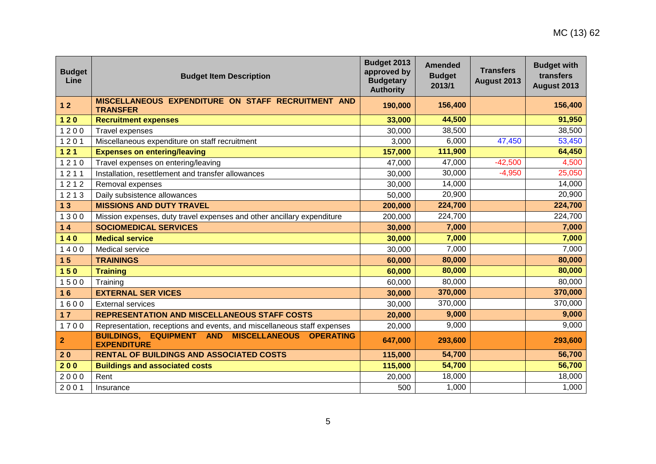| <b>Budget</b><br>Line | <b>Budget Item Description</b>                                                                    | Budget 2013<br>approved by<br><b>Budgetary</b><br><b>Authority</b> | <b>Amended</b><br><b>Budget</b><br>2013/1 | <b>Transfers</b><br>August 2013 | <b>Budget with</b><br>transfers<br>August 2013 |
|-----------------------|---------------------------------------------------------------------------------------------------|--------------------------------------------------------------------|-------------------------------------------|---------------------------------|------------------------------------------------|
| $12$                  | MISCELLANEOUS EXPENDITURE ON STAFF RECRUITMENT AND<br><b>TRANSFER</b>                             | 190,000                                                            | 156,400                                   |                                 | 156,400                                        |
| $120$                 | <b>Recruitment expenses</b>                                                                       | 33,000                                                             | 44,500                                    |                                 | 91,950                                         |
| 1200                  | Travel expenses                                                                                   | 30,000                                                             | 38,500                                    |                                 | 38,500                                         |
| 1201                  | Miscellaneous expenditure on staff recruitment                                                    | 3,000                                                              | 6,000                                     | 47,450                          | 53,450                                         |
| $121$                 | <b>Expenses on entering/leaving</b>                                                               | 157,000                                                            | 111,900                                   |                                 | 64,450                                         |
| 1210                  | Travel expenses on entering/leaving                                                               | 47,000                                                             | 47,000                                    | $-42,500$                       | 4,500                                          |
| 1211                  | Installation, resettlement and transfer allowances                                                | 30,000                                                             | 30,000                                    | $-4,950$                        | 25,050                                         |
| 1212                  | Removal expenses                                                                                  | 30,000                                                             | 14,000                                    |                                 | 14,000                                         |
| 1213                  | Daily subsistence allowances                                                                      | 50,000                                                             | 20,900                                    |                                 | 20,900                                         |
| 13                    | <b>MISSIONS AND DUTY TRAVEL</b>                                                                   | 200,000                                                            | 224,700                                   |                                 | 224,700                                        |
| 1300                  | Mission expenses, duty travel expenses and other ancillary expenditure                            | 200,000                                                            | 224,700                                   |                                 | 224,700                                        |
| $14$                  | <b>SOCIOMEDICAL SERVICES</b>                                                                      | 30,000                                                             | 7,000                                     |                                 | 7,000                                          |
| $140$                 | <b>Medical service</b>                                                                            | 30,000                                                             | 7,000                                     |                                 | 7,000                                          |
| 1400                  | Medical service                                                                                   | 30,000                                                             | 7,000                                     |                                 | 7,000                                          |
| 15                    | <b>TRAININGS</b>                                                                                  | 60,000                                                             | 80,000                                    |                                 | 80,000                                         |
| $150$                 | <b>Training</b>                                                                                   | 60,000                                                             | 80,000                                    |                                 | 80,000                                         |
| 1500                  | Training                                                                                          | 60,000                                                             | 80,000                                    |                                 | 80,000                                         |
| 16                    | <b>EXTERNAL SER VICES</b>                                                                         | 30,000                                                             | 370,000                                   |                                 | 370,000                                        |
| 1600                  | <b>External services</b>                                                                          | 30,000                                                             | 370,000                                   |                                 | 370,000                                        |
| $17$                  | <b>REPRESENTATION AND MISCELLANEOUS STAFF COSTS</b>                                               | 20,000                                                             | 9,000                                     |                                 | 9,000                                          |
| 1700                  | Representation, receptions and events, and miscellaneous staff expenses                           | 20,000                                                             | 9,000                                     |                                 | 9,000                                          |
| $\mathbf{2}$          | <b>BUILDINGS, EQUIPMENT AND</b><br><b>MISCELLANEOUS</b><br><b>OPERATING</b><br><b>EXPENDITURE</b> | 647,000                                                            | 293,600                                   |                                 | 293,600                                        |
| 20                    | <b>RENTAL OF BUILDINGS AND ASSOCIATED COSTS</b>                                                   | 115,000                                                            | 54,700                                    |                                 | 56,700                                         |
| 200                   | <b>Buildings and associated costs</b>                                                             | 115,000                                                            | 54,700                                    |                                 | 56,700                                         |
| 2000                  | Rent                                                                                              | 20,000                                                             | 18,000                                    |                                 | 18,000                                         |
| 2001                  | Insurance                                                                                         | 500                                                                | 1,000                                     |                                 | 1,000                                          |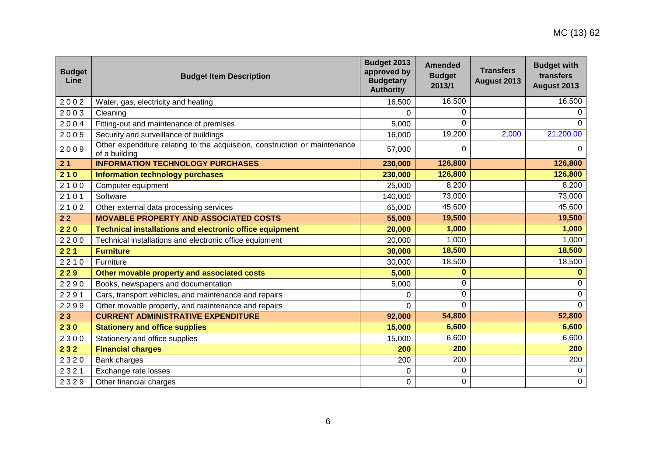| <b>Budget</b><br>Line | <b>Budget Item Description</b>                                                              | Budget 2013<br>approved by<br><b>Budgetary</b><br><b>Authority</b> | <b>Amended</b><br><b>Budget</b><br>2013/1 | <b>Transfers</b><br>August 2013 | <b>Budget with</b><br>transfers<br>August 2013 |
|-----------------------|---------------------------------------------------------------------------------------------|--------------------------------------------------------------------|-------------------------------------------|---------------------------------|------------------------------------------------|
| 2002                  | Water, gas, electricity and heating                                                         | 16,500                                                             | 16,500                                    |                                 | 16,500                                         |
| 2003                  | Cleaning                                                                                    | 0                                                                  | 0                                         |                                 |                                                |
| 2004                  | Fitting-out and maintenance of premises                                                     | 5,000                                                              | 0                                         |                                 |                                                |
| 2005                  | Security and surveillance of buildings                                                      | 16,000                                                             | 19,200                                    | 2,000                           | 21,200.00                                      |
| 2009                  | Other expenditure relating to the acquisition, construction or maintenance<br>of a building | 57,000                                                             | 0                                         |                                 | 0                                              |
| 21                    | <b>INFORMATION TECHNOLOGY PURCHASES</b>                                                     | 230,000                                                            | 126,800                                   |                                 | 126,800                                        |
| 210                   | <b>Information technology purchases</b>                                                     | 230,000                                                            | 126,800                                   |                                 | 126,800                                        |
| 2100                  | Computer equipment                                                                          | 25,000                                                             | 8,200                                     |                                 | 8,200                                          |
| 2101                  | Software                                                                                    | 140,000                                                            | 73,000                                    |                                 | 73,000                                         |
| 2102                  | Other external data processing services                                                     | 65,000                                                             | 45,600                                    |                                 | 45,600                                         |
| 22                    | <b>MOVABLE PROPERTY AND ASSOCIATED COSTS</b>                                                | 55,000                                                             | 19,500                                    |                                 | 19,500                                         |
| 220                   | <b>Technical installations and electronic office equipment</b>                              | 20,000                                                             | 1,000                                     |                                 | 1,000                                          |
| 2200                  | Technical installations and electronic office equipment                                     | 20,000                                                             | 1,000                                     |                                 | 1,000                                          |
| 221                   | <b>Furniture</b>                                                                            | 30,000                                                             | 18,500                                    |                                 | 18,500                                         |
| 2210                  | Furniture                                                                                   | 30,000                                                             | 18,500                                    |                                 | 18,500                                         |
| 229                   | Other movable property and associated costs                                                 | 5,000                                                              | $\bf{0}$                                  |                                 | $\bf{0}$                                       |
| 2290                  | Books, newspapers and documentation                                                         | 5,000                                                              | 0                                         |                                 | 0                                              |
| 2291                  | Cars, transport vehicles, and maintenance and repairs                                       | 0                                                                  | 0                                         |                                 | 0                                              |
| 2299                  | Other movable property, and maintenance and repairs                                         | $\Omega$                                                           | $\Omega$                                  |                                 | $\Omega$                                       |
| 23                    | <b>CURRENT ADMINISTRATIVE EXPENDITURE</b>                                                   | 92,000                                                             | 54,800                                    |                                 | 52,800                                         |
| 230                   | <b>Stationery and office supplies</b>                                                       | 15,000                                                             | 6,600                                     |                                 | 6,600                                          |
| 2300                  | Stationery and office supplies                                                              | 15,000                                                             | 6,600                                     |                                 | 6,600                                          |
| 232                   | <b>Financial charges</b>                                                                    | 200                                                                | 200                                       |                                 | 200                                            |
| 2320                  | Bank charges                                                                                | 200                                                                | 200                                       |                                 | 200                                            |
| 2321                  | Exchange rate losses                                                                        | 0                                                                  | 0                                         |                                 | 0                                              |
| 2329                  | Other financial charges                                                                     | 0                                                                  | 0                                         |                                 | $\pmb{0}$                                      |